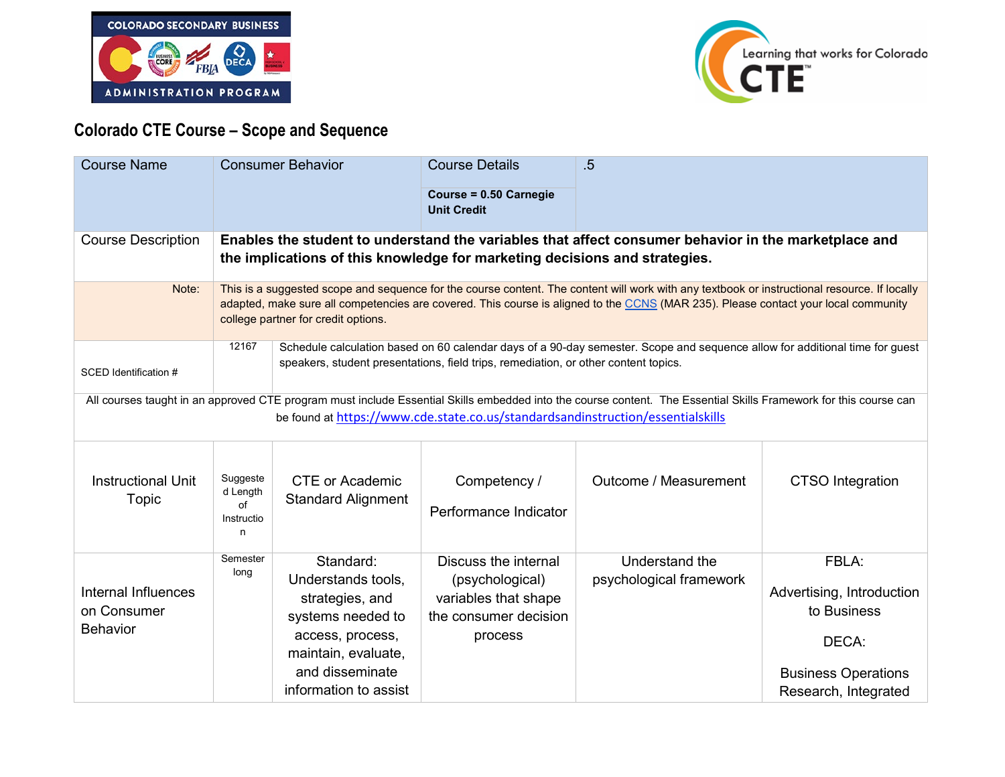



## **Colorado CTE Course – Scope and Sequence**

| <b>Course Name</b>                                                                                                                                                                                                                                  |                                                                                                                                                                                                                                                                                                                           | <b>Consumer Behavior</b>                                                                                                                                       | <b>Course Details</b><br>Course = 0.50 Carnegie<br><b>Unit Credit</b>                               | .5                                        |                                                                                                                  |
|-----------------------------------------------------------------------------------------------------------------------------------------------------------------------------------------------------------------------------------------------------|---------------------------------------------------------------------------------------------------------------------------------------------------------------------------------------------------------------------------------------------------------------------------------------------------------------------------|----------------------------------------------------------------------------------------------------------------------------------------------------------------|-----------------------------------------------------------------------------------------------------|-------------------------------------------|------------------------------------------------------------------------------------------------------------------|
| <b>Course Description</b>                                                                                                                                                                                                                           | Enables the student to understand the variables that affect consumer behavior in the marketplace and<br>the implications of this knowledge for marketing decisions and strategies.                                                                                                                                        |                                                                                                                                                                |                                                                                                     |                                           |                                                                                                                  |
| Note:                                                                                                                                                                                                                                               | This is a suggested scope and sequence for the course content. The content will work with any textbook or instructional resource. If locally<br>adapted, make sure all competencies are covered. This course is aligned to the CCNS (MAR 235). Please contact your local community<br>college partner for credit options. |                                                                                                                                                                |                                                                                                     |                                           |                                                                                                                  |
| SCED Identification #                                                                                                                                                                                                                               | 12167<br>Schedule calculation based on 60 calendar days of a 90-day semester. Scope and sequence allow for additional time for guest<br>speakers, student presentations, field trips, remediation, or other content topics.                                                                                               |                                                                                                                                                                |                                                                                                     |                                           |                                                                                                                  |
| All courses taught in an approved CTE program must include Essential Skills embedded into the course content. The Essential Skills Framework for this course can<br>be found at https://www.cde.state.co.us/standardsandinstruction/essentialskills |                                                                                                                                                                                                                                                                                                                           |                                                                                                                                                                |                                                                                                     |                                           |                                                                                                                  |
| <b>Instructional Unit</b><br>Topic                                                                                                                                                                                                                  | Suggeste<br>d Length<br>of<br>Instructio<br>n                                                                                                                                                                                                                                                                             | <b>CTE or Academic</b><br><b>Standard Alignment</b>                                                                                                            | Competency /<br>Performance Indicator                                                               | Outcome / Measurement                     | <b>CTSO</b> Integration                                                                                          |
| Internal Influences<br>on Consumer<br><b>Behavior</b>                                                                                                                                                                                               | Semester<br>long                                                                                                                                                                                                                                                                                                          | Standard:<br>Understands tools,<br>strategies, and<br>systems needed to<br>access, process,<br>maintain, evaluate,<br>and disseminate<br>information to assist | Discuss the internal<br>(psychological)<br>variables that shape<br>the consumer decision<br>process | Understand the<br>psychological framework | FBLA:<br>Advertising, Introduction<br>to Business<br>DECA:<br><b>Business Operations</b><br>Research, Integrated |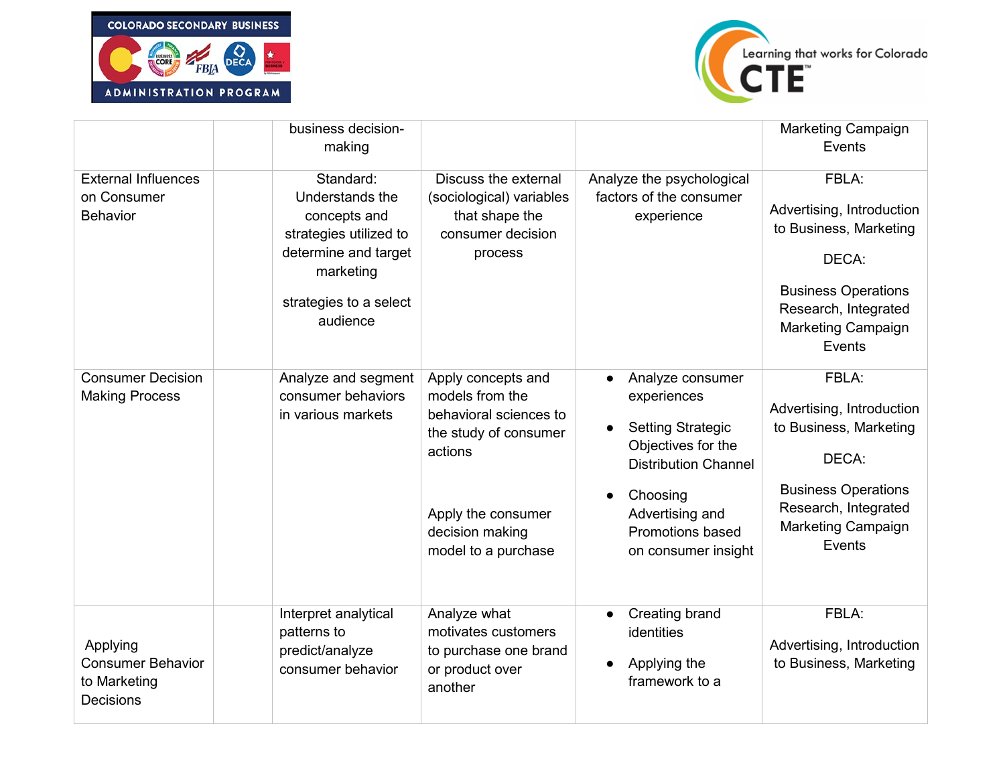



|                                                                   | business decision-<br>making                                                                                                                      |                                                                                                                                                                     |                                                                                                                                                                                                   | <b>Marketing Campaign</b><br>Events                                                                                                                                |
|-------------------------------------------------------------------|---------------------------------------------------------------------------------------------------------------------------------------------------|---------------------------------------------------------------------------------------------------------------------------------------------------------------------|---------------------------------------------------------------------------------------------------------------------------------------------------------------------------------------------------|--------------------------------------------------------------------------------------------------------------------------------------------------------------------|
| <b>External Influences</b><br>on Consumer<br><b>Behavior</b>      | Standard:<br>Understands the<br>concepts and<br>strategies utilized to<br>determine and target<br>marketing<br>strategies to a select<br>audience | Discuss the external<br>(sociological) variables<br>that shape the<br>consumer decision<br>process                                                                  | Analyze the psychological<br>factors of the consumer<br>experience                                                                                                                                | FBLA:<br>Advertising, Introduction<br>to Business, Marketing<br>DECA:<br><b>Business Operations</b><br>Research, Integrated<br><b>Marketing Campaign</b><br>Events |
| <b>Consumer Decision</b><br><b>Making Process</b>                 | Analyze and segment<br>consumer behaviors<br>in various markets                                                                                   | Apply concepts and<br>models from the<br>behavioral sciences to<br>the study of consumer<br>actions<br>Apply the consumer<br>decision making<br>model to a purchase | Analyze consumer<br>experiences<br><b>Setting Strategic</b><br>Objectives for the<br><b>Distribution Channel</b><br>Choosing<br>Advertising and<br><b>Promotions based</b><br>on consumer insight | FBLA:<br>Advertising, Introduction<br>to Business, Marketing<br>DECA:<br><b>Business Operations</b><br>Research, Integrated<br>Marketing Campaign<br>Events        |
| Applying<br><b>Consumer Behavior</b><br>to Marketing<br>Decisions | Interpret analytical<br>patterns to<br>predict/analyze<br>consumer behavior                                                                       | Analyze what<br>motivates customers<br>to purchase one brand<br>or product over<br>another                                                                          | <b>Creating brand</b><br>identities<br>Applying the<br>framework to a                                                                                                                             | FBLA:<br>Advertising, Introduction<br>to Business, Marketing                                                                                                       |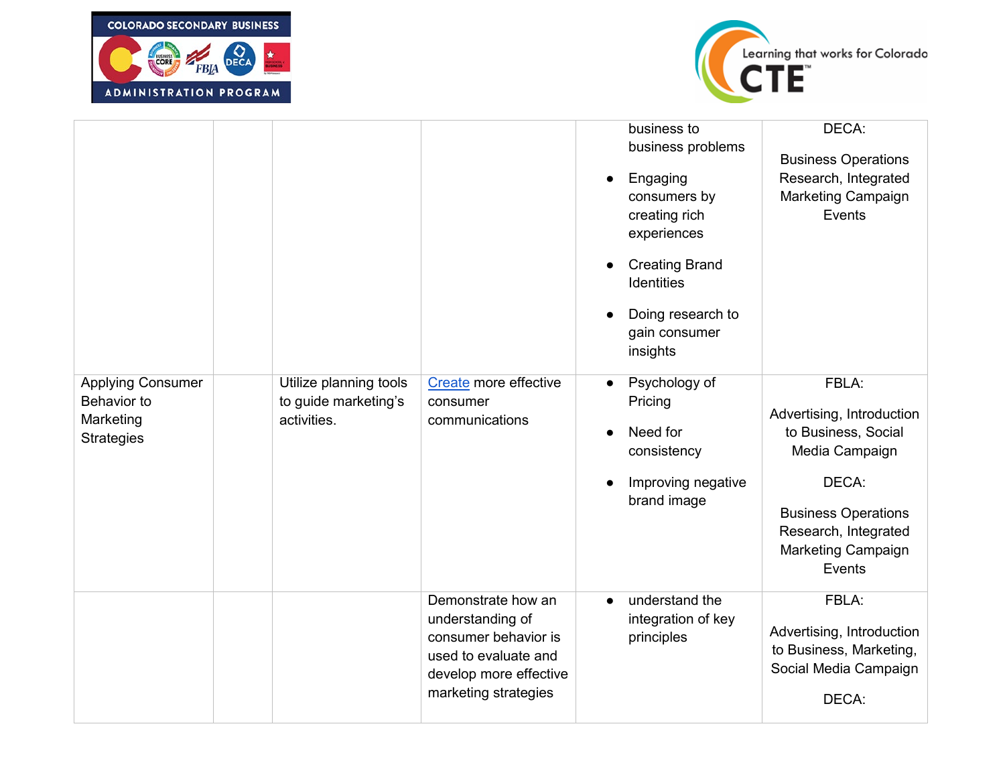



|                                                                           |                                                               |                                                                                                                                          | business to<br>business problems<br>Engaging<br>$\bullet$<br>consumers by<br>creating rich<br>experiences<br><b>Creating Brand</b><br><b>Identities</b><br>Doing research to<br>gain consumer<br>insights | DECA:<br><b>Business Operations</b><br>Research, Integrated<br>Marketing Campaign<br>Events                                                                                |
|---------------------------------------------------------------------------|---------------------------------------------------------------|------------------------------------------------------------------------------------------------------------------------------------------|-----------------------------------------------------------------------------------------------------------------------------------------------------------------------------------------------------------|----------------------------------------------------------------------------------------------------------------------------------------------------------------------------|
| <b>Applying Consumer</b><br>Behavior to<br>Marketing<br><b>Strategies</b> | Utilize planning tools<br>to guide marketing's<br>activities. | Create more effective<br>consumer<br>communications                                                                                      | Psychology of<br>$\bullet$<br>Pricing<br>Need for<br>consistency<br>Improving negative<br>brand image                                                                                                     | FBLA:<br>Advertising, Introduction<br>to Business, Social<br>Media Campaign<br>DECA:<br><b>Business Operations</b><br>Research, Integrated<br>Marketing Campaign<br>Events |
|                                                                           |                                                               | Demonstrate how an<br>understanding of<br>consumer behavior is<br>used to evaluate and<br>develop more effective<br>marketing strategies | understand the<br>integration of key<br>principles                                                                                                                                                        | FBLA:<br>Advertising, Introduction<br>to Business, Marketing,<br>Social Media Campaign<br>DECA:                                                                            |